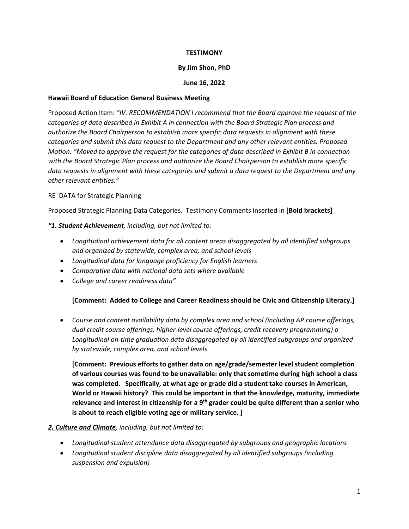## **TESTIMONY**

## **By Jim Shon, PhD**

## **June 16, 2022**

## **Hawaii Board of Education General Business Meeting**

Proposed Action Item: *"IV. RECOMMENDATION I recommend that the Board approve the request of the categories of data described in Exhibit A in connection with the Board Strategic Plan process and authorize the Board Chairperson to establish more specific data requests in alignment with these categories and submit this data request to the Department and any other relevant entities. Proposed Motion: "Moved to approve the request for the categories of data described in Exhibit B in connection with the Board Strategic Plan process and authorize the Board Chairperson to establish more specific data requests in alignment with these categories and submit a data request to the Department and any other relevant entities."*

# RE DATA for Strategic Planning

Proposed Strategic Planning Data Categories. Testimony Comments inserted in **[Bold brackets]**

# *"1. Student Achievement, including, but not limited to:*

- *Longitudinal achievement data for all content areas disaggregated by all identified subgroups and organized by statewide, complex area, and school levels*
- *Longitudinal data for language proficiency for English learners*
- *Comparative data with national data sets where available*
- *College and career readiness data"*

# **[Comment: Added to College and Career Readiness should be Civic and Citizenship Literacy.]**

• *Course and content availability data by complex area and school (including AP course offerings, dual credit course offerings, higher-level course offerings, credit recovery programming) o Longitudinal on-time graduation data disaggregated by all identified subgroups and organized by statewide, complex area, and school levels* 

**[Comment: Previous efforts to gather data on age/grade/semester level student completion of various courses was found to be unavailable: only that sometime during high school a class was completed. Specifically, at what age or grade did a student take courses in American, World or Hawaii history? This could be important in that the knowledge, maturity, immediate relevance and interest in citizenship for a 9th grader could be quite different than a senior who is about to reach eligible voting age or military service. ]**

# *2. Culture and Climate, including, but not limited to:*

- *Longitudinal student attendance data disaggregated by subgroups and geographic locations*
- *Longitudinal student discipline data disaggregated by all identified subgroups (including suspension and expulsion)*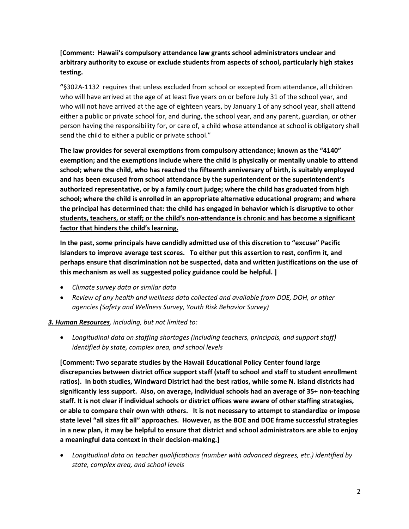**[Comment: Hawaii's compulsory attendance law grants school administrators unclear and arbitrary authority to excuse or exclude students from aspects of school, particularly high stakes testing.** 

**"**§302A-1132 requires that unless excluded from school or excepted from attendance, all children who will have arrived at the age of at least five years on or before July 31 of the school year, and who will not have arrived at the age of eighteen years, by January 1 of any school year, shall attend either a public or private school for, and during, the school year, and any parent, guardian, or other person having the responsibility for, or care of, a child whose attendance at school is obligatory shall send the child to either a public or private school."

**The law provides for several exemptions from compulsory attendance; known as the "4140" exemption; and the exemptions include where the child is physically or mentally unable to attend school; where the child, who has reached the fifteenth anniversary of birth, is suitably employed and has been excused from school attendance by the superintendent or the superintendent's authorized representative, or by a family court judge; where the child has graduated from high school; where the child is enrolled in an appropriate alternative educational program; and where the principal has determined that: the child has engaged in behavior which is disruptive to other students, teachers, or staff; or the child's non-attendance is chronic and has become a significant factor that hinders the child's learning.**

**In the past, some principals have candidly admitted use of this discretion to "excuse" Pacific Islanders to improve average test scores. To either put this assertion to rest, confirm it, and perhaps ensure that discrimination not be suspected, data and written justifications on the use of this mechanism as well as suggested policy guidance could be helpful. ]**

- *Climate survey data or similar data*
- *Review of any health and wellness data collected and available from DOE, DOH, or other agencies (Safety and Wellness Survey, Youth Risk Behavior Survey)*

## *3. Human Resources, including, but not limited to:*

• *Longitudinal data on staffing shortages (including teachers, principals, and support staff) identified by state, complex area, and school levels* 

**[Comment: Two separate studies by the Hawaii Educational Policy Center found large discrepancies between district office support staff (staff to school and staff to student enrollment ratios). In both studies, Windward District had the best ratios, while some N. Island districts had significantly less support. Also, on average, individual schools had an average of 35+ non-teaching staff. It is not clear if individual schools or district offices were aware of other staffing strategies, or able to compare their own with others. It is not necessary to attempt to standardize or impose state level "all sizes fit all" approaches. However, as the BOE and DOE frame successful strategies in a new plan, it may be helpful to ensure that district and school administrators are able to enjoy a meaningful data context in their decision-making.]**

• *Longitudinal data on teacher qualifications (number with advanced degrees, etc.) identified by state, complex area, and school levels*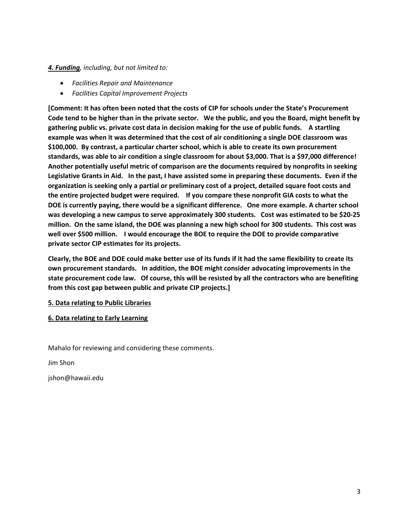# *4. Funding, including, but not limited to:*

- *Facilities Repair and Maintenance*
- *Facilities Capital Improvement Projects*

**[Comment: It has often been noted that the costs of CIP for schools under the State's Procurement Code tend to be higher than in the private sector. We the public, and you the Board, might benefit by gathering public vs. private cost data in decision making for the use of public funds. A startling example was when it was determined that the cost of air conditioning a single DOE classroom was \$100,000. By contrast, a particular charter school, which is able to create its own procurement standards, was able to air condition a single classroom for about \$3,000. That is a \$97,000 difference! Another potentially useful metric of comparison are the documents required by nonprofits in seeking Legislative Grants in Aid. In the past, I have assisted some in preparing these documents. Even if the organization is seeking only a partial or preliminary cost of a project, detailed square foot costs and the entire projected budget were required. If you compare these nonprofit GIA costs to what the DOE is currently paying, there would be a significant difference. One more example. A charter school was developing a new campus to serve approximately 300 students. Cost was estimated to be \$20-25 million. On the same island, the DOE was planning a new high school for 300 students. This cost was well over \$500 million. I would encourage the BOE to require the DOE to provide comparative private sector CIP estimates for its projects.** 

**Clearly, the BOE and DOE could make better use of its funds if it had the same flexibility to create its own procurement standards. In addition, the BOE might consider advocating improvements in the state procurement code law. Of course, this will be resisted by all the contractors who are benefiting from this cost gap between public and private CIP projects.]**

## **5. Data relating to Public Libraries**

## **6. Data relating to Early Learning**

Mahalo for reviewing and considering these comments.

Jim Shon

jshon@hawaii.edu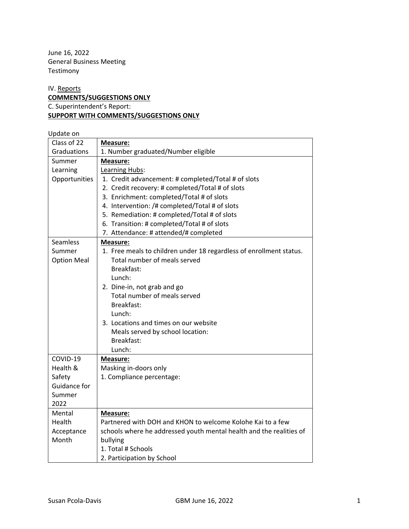June 16, 2022 General Business Meeting Testimony

# IV. Reports **COMMENTS/SUGGESTIONS ONLY** C. Superintendent's Report: **SUPPORT WITH COMMENTS/SUGGESTIONS ONLY**

## Update on

| Class of 22        | <b>Measure:</b>                                                     |
|--------------------|---------------------------------------------------------------------|
| Graduations        | 1. Number graduated/Number eligible                                 |
| Summer             | <b>Measure:</b>                                                     |
| Learning           | Learning Hubs:                                                      |
| Opportunities      | 1. Credit advancement: # completed/Total # of slots                 |
|                    | 2. Credit recovery: # completed/Total # of slots                    |
|                    | 3. Enrichment: completed/Total # of slots                           |
|                    | 4. Intervention: /# completed/Total # of slots                      |
|                    | 5. Remediation: # completed/Total # of slots                        |
|                    | 6. Transition: # completed/Total # of slots                         |
|                    | 7. Attendance: # attended/# completed                               |
| Seamless           | <b>Measure:</b>                                                     |
| Summer             | 1. Free meals to children under 18 regardless of enrollment status. |
| <b>Option Meal</b> | Total number of meals served                                        |
|                    | Breakfast:                                                          |
|                    | Lunch:                                                              |
|                    | 2. Dine-in, not grab and go                                         |
|                    | Total number of meals served                                        |
|                    | Breakfast:                                                          |
|                    | Lunch:                                                              |
|                    | 3. Locations and times on our website                               |
|                    | Meals served by school location:                                    |
|                    | Breakfast:                                                          |
|                    | Lunch:                                                              |
| COVID-19           | Measure:                                                            |
| Health &           | Masking in-doors only                                               |
| Safety             | 1. Compliance percentage:                                           |
| Guidance for       |                                                                     |
| Summer             |                                                                     |
| 2022               |                                                                     |
| Mental             | <b>Measure:</b>                                                     |
| Health             | Partnered with DOH and KHON to welcome Kolohe Kai to a few          |
| Acceptance         | schools where he addressed youth mental health and the realities of |
| Month              | bullying                                                            |
|                    | 1. Total # Schools                                                  |
|                    | 2. Participation by School                                          |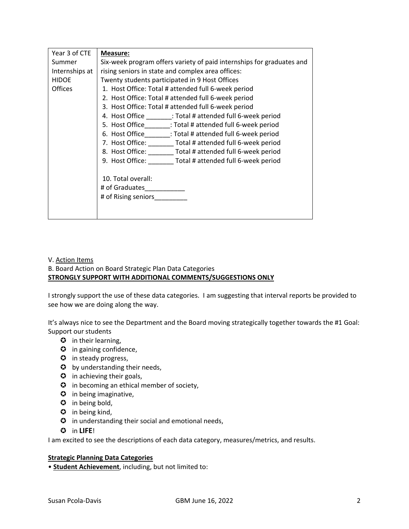| Year 3 of CTE  | Measure:                                                              |
|----------------|-----------------------------------------------------------------------|
| Summer         | Six-week program offers variety of paid internships for graduates and |
| Internships at | rising seniors in state and complex area offices:                     |
| <b>HIDOE</b>   | Twenty students participated in 9 Host Offices                        |
| <b>Offices</b> | 1. Host Office: Total # attended full 6-week period                   |
|                | 2. Host Office: Total # attended full 6-week period                   |
|                | 3. Host Office: Total # attended full 6-week period                   |
|                | 4. Host Office ________: Total # attended full 6-week period          |
|                | 5. Host Office ________: Total # attended full 6-week period          |
|                | 6. Host Office ________: Total # attended full 6-week period          |
|                | 7. Host Office: ________ Total # attended full 6-week period          |
|                | 8. Host Office: _______ Total # attended full 6-week period           |
|                | 9. Host Office: Total # attended full 6-week period                   |
|                |                                                                       |
|                | 10. Total overall:                                                    |
|                | # of Graduates                                                        |
|                | # of Rising seniors                                                   |
|                |                                                                       |
|                |                                                                       |

### V. Action Items

# B. Board Action on Board Strategic Plan Data Categories **STRONGLY SUPPORT WITH ADDITIONAL COMMENTS/SUGGESTIONS ONLY**

I strongly support the use of these data categories. I am suggesting that interval reports be provided to see how we are doing along the way.

It's always nice to see the Department and the Board moving strategically together towards the #1 Goal: Support our students

- $\bullet$  in their learning,
- **3** in gaining confidence,
- $\odot$  in steady progress,
- $\odot$  by understanding their needs,
- $\odot$  in achieving their goals,
- $\bullet$  in becoming an ethical member of society,
- **3** in being imaginative,
- $\odot$  in being bold,
- $\bullet$  in being kind,
- $\bullet$  in understanding their social and emotional needs,
- in **LIFE**!

I am excited to see the descriptions of each data category, measures/metrics, and results.

## **Strategic Planning Data Categories**

• **Student Achievement**, including, but not limited to: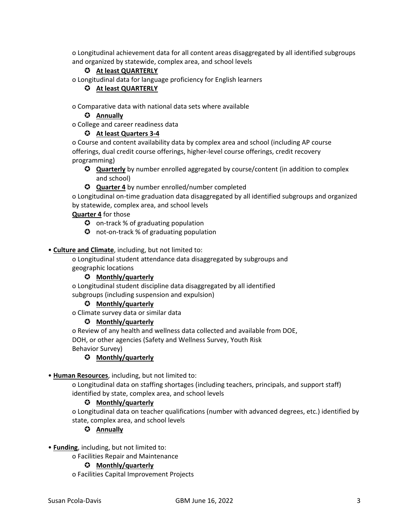o Longitudinal achievement data for all content areas disaggregated by all identified subgroups and organized by statewide, complex area, and school levels

# **At least QUARTERLY**

o Longitudinal data for language proficiency for English learners

## **At least QUARTERLY**

o Comparative data with national data sets where available

### **Annually**

o College and career readiness data

#### **At least Quarters 3-4**

o Course and content availability data by complex area and school (including AP course offerings, dual credit course offerings, higher-level course offerings, credit recovery programming)

- **Quarterly** by number enrolled aggregated by course/content (in addition to complex and school)
- **Quarter 4** by number enrolled/number completed

o Longitudinal on-time graduation data disaggregated by all identified subgroups and organized by statewide, complex area, and school levels

### **Quarter 4** for those

- $\bullet$  on-track % of graduating population
- **O** not-on-track % of graduating population

#### • **Culture and Climate**, including, but not limited to:

o Longitudinal student attendance data disaggregated by subgroups and geographic locations

### **Monthly/quarterly**

o Longitudinal student discipline data disaggregated by all identified subgroups (including suspension and expulsion)

#### **Monthly/quarterly**

o Climate survey data or similar data

#### **Monthly/quarterly**

o Review of any health and wellness data collected and available from DOE, DOH, or other agencies (Safety and Wellness Survey, Youth Risk Behavior Survey)

#### **Monthly/quarterly**

#### • **Human Resources**, including, but not limited to:

o Longitudinal data on staffing shortages (including teachers, principals, and support staff) identified by state, complex area, and school levels

#### **Monthly/quarterly**

o Longitudinal data on teacher qualifications (number with advanced degrees, etc.) identified by state, complex area, and school levels

#### **Annually**

• **Funding**, including, but not limited to:

o Facilities Repair and Maintenance

#### **Monthly/quarterly**

o Facilities Capital Improvement Projects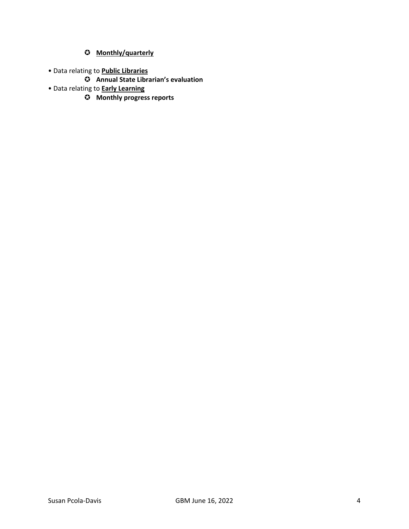# **Monthly/quarterly**

- Data relating to **Public Libraries**
	- **Annual State Librarian's evaluation**
- Data relating to **Early Learning**
	- **Monthly progress reports**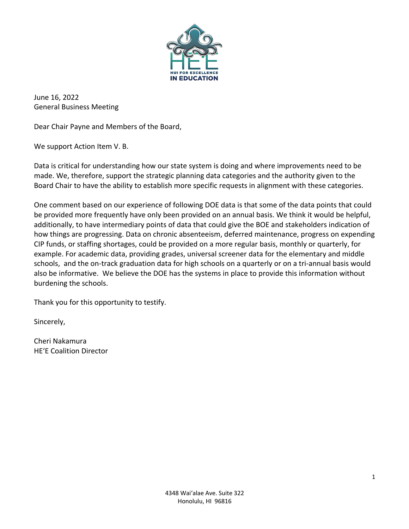

June 16, 2022 General Business Meeting

Dear Chair Payne and Members of the Board,

We support Action Item V. B.

Data is critical for understanding how our state system is doing and where improvements need to be made. We, therefore, support the strategic planning data categories and the authority given to the Board Chair to have the ability to establish more specific requests in alignment with these categories.

One comment based on our experience of following DOE data is that some of the data points that could be provided more frequently have only been provided on an annual basis. We think it would be helpful, additionally, to have intermediary points of data that could give the BOE and stakeholders indication of how things are progressing. Data on chronic absenteeism, deferred maintenance, progress on expending CIP funds, or staffing shortages, could be provided on a more regular basis, monthly or quarterly, for example. For academic data, providing grades, universal screener data for the elementary and middle schools, and the on-track graduation data for high schools on a quarterly or on a tri-annual basis would also be informative. We believe the DOE has the systems in place to provide this information without burdening the schools.

Thank you for this opportunity to testify.

Sincerely,

Cheri Nakamura HEʻE Coalition Director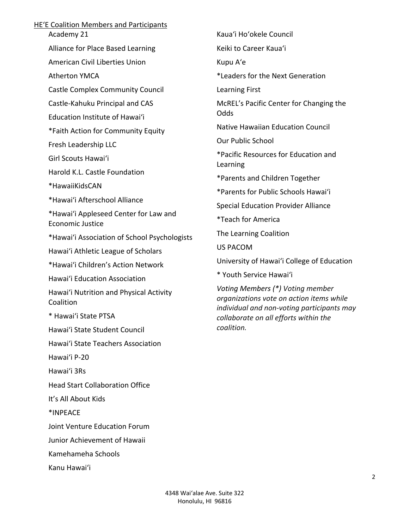# HEʻE Coalition Members and Participants

Academy 21

Alliance for Place Based Learning

American Civil Liberties Union

Atherton YMCA

Castle Complex Community Council

Castle-Kahuku Principal and CAS

Education Institute of Hawaiʻi

\*Faith Action for Community Equity

Fresh Leadership LLC

Girl Scouts Hawaiʻi

Harold K.L. Castle Foundation

\*HawaiiKidsCAN

\*Hawai'i Afterschool Alliance

\*Hawai'i Appleseed Center for Law and Economic Justice

\*Hawai'i Association of School Psychologists

Hawai'i Athletic League of Scholars

\*Hawai'i Children's Action Network

Hawaiʻi Education Association

Hawai'i Nutrition and Physical Activity Coalition

\* Hawai'i State PTSA

Hawai'i State Student Council

Hawai'i State Teachers Association

Hawai'i P-20

Hawai'i 3Rs

Head Start Collaboration Office

It's All About Kids

\*INPEACE

Joint Venture Education Forum

Junior Achievement of Hawaii

Kamehameha Schools

Kanu Hawai'i

Kaua'i Ho'okele Council

Keiki to Career Kaua'i

Kupu A'e

\*Leaders for the Next Generation

Learning First

McREL's Pacific Center for Changing the Odds

Native Hawaiian Education Council

Our Public School

\*Pacific Resources for Education and Learning

\*Parents and Children Together

\*Parents for Public Schools Hawai'i

Special Education Provider Alliance

\*Teach for America

The Learning Coalition

US PACOM

University of Hawai'i College of Education

\* Youth Service Hawai'i

*Voting Members (\*) Voting member organizations vote on action items while individual and non-voting participants may collaborate on all efforts within the coalition.*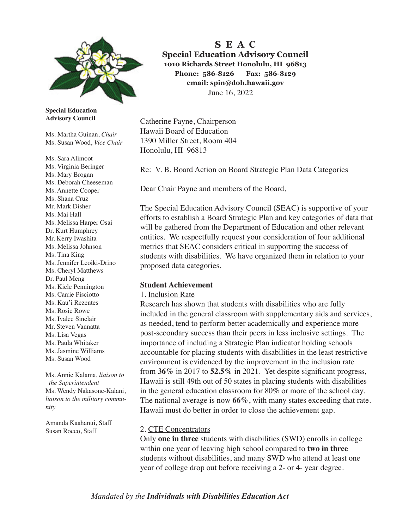

**Special Education Advisory Council** 

Ms. Martha Guinan, *Chair* Ms. Susan Wood, *Vice Chair*

Ms. Sara Alimoot Ms. Virginia Beringer Ms. Mary Brogan Ms. Deborah Cheeseman Ms. Annette Cooper Ms. Shana Cruz Mr. Mark Disher Ms. Mai Hall Ms. Melissa Harper Osai Dr. Kurt Humphrey Mr. Kerry Iwashita Ms. Melissa Johnson Ms. Tina King Ms. Jennifer Leoiki-Drino Ms. Cheryl Matthews Dr. Paul Meng Ms. Kiele Pennington Ms. Carrie Pisciotto Ms. Kau'i Rezentes Ms. Rosie Rowe Ms. Ivalee Sinclair Mr. Steven Vannatta Ms. Lisa Vegas Ms. Paula Whitaker Ms. Jasmine Williams Ms. Susan Wood

Ms. Annie Kalama, *liaison to the Superintendent*  Ms. Wendy Nakasone-Kalani, *liaison to the military community*

Amanda Kaahanui, Staff Susan Rocco, Staff

**S E A C Special Education Advisory Council 1010 Richards Street Honolulu, HI 96813 Phone: 586-8126 Fax: 586-8129 email: spin@doh.hawaii.gov** June 16, 2022

Catherine Payne, Chairperson Hawaii Board of Education 1390 Miller Street, Room 404 Honolulu, HI 96813

Re: V. B. Board Action on Board Strategic Plan Data Categories

Dear Chair Payne and members of the Board,

The Special Education Advisory Council (SEAC) is supportive of your efforts to establish a Board Strategic Plan and key categories of data that will be gathered from the Department of Education and other relevant entities. We respectfully request your consideration of four additional metrics that SEAC considers critical in supporting the success of students with disabilities. We have organized them in relation to your proposed data categories.

## **Student Achievement**

#### 1. Inclusion Rate

Research has shown that students with disabilities who are fully included in the general classroom with supplementary aids and services, as needed, tend to perform better academically and experience more post-secondary success than their peers in less inclusive settings. The importance of including a Strategic Plan indicator holding schools accountable for placing students with disabilities in the least restrictive environment is evidenced by the improvement in the inclusion rate from **36%** in 2017 to **52.5%** in 2021. Yet despite signifcant progress, Hawaii is still 49th out of 50 states in placing students with disabilities in the general education classroom for 80% or more of the school day. The national average is now **66%**, with many states exceeding that rate. Hawaii must do better in order to close the achievement gap.

# 2. CTE Concentrators

Only **one in three** students with disabilities (SWD) enrolls in college within one year of leaving high school compared to **two in three** students without disabilities, and many SWD who attend at least one year of college drop out before receiving a 2- or 4- year degree.